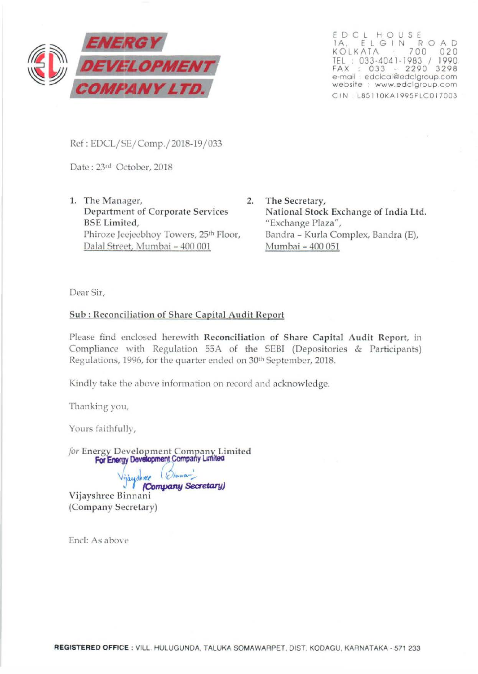

EDCL HO USE 1 A. ELGIN ROAD<br>KOLKATA - 700 020 TEL : 033-4041-1983 / 1990. FAX : 033 - 2290 3298 e moil . edclcol@edclgroup.com website www.edclgroup.com CIN . L85110KA1995PLC017003

Ref: EDCL/SE/Comp./ 2018-19/033

Date: 23rd October, 2018

- 1. The Manager, 2. Department of Corporate Services BSE Limited, Phiroze Jeejeebhoy Towers, 25<sup>th</sup> Floor, Dalal Street, Mumbai - 400 001
	- The Secretary, National Stock Exchange of India Ltd. "Exchange Plaza", Bandra - Kurla Complex, Bandra (E), Mumbai - 400 051

Dear Sir,

## Sub: Reconciliation of Share Capital Audit Report

Please find enclosed herewith Reconciliation of Share Capital Audit Report, in Compliance with Regulation 55A of the SEBI (Depositories & Participants) Regulations, 1996, for the quarter ended on 30<sup>th</sup> September, 2018.

Kindly take the above information on record and acknowledge.

Thanking you,

Yours faithfully,

*for* Energy Development Company Limited For Energy Development Company Limited

Vijaush*ree* ( 'Dinnan' J I *(Company Secretary)*  Vijayshree Binnani (Company Secretary)

Encl: As above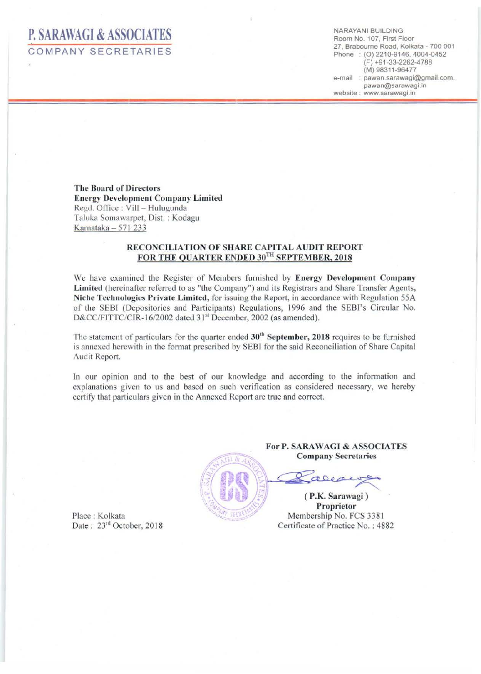P. SARAWAGI & ASSOCIATES COMPANY SECRETARIES NARAYAN! BUILDING Room No. 107, First Floor 27, Brabourne Road, Kolkata - 700 001 Phone : (0) 2210-9146, 4004-0452 (F) +91-33-2262-4788 (M) 98311-96477 e-mail : pawan.sarawagi@gmail.com. pawan@sarawagi.in website : wwwsarawagl.in

The Board of Directors Energy Development Company Limited Regd. Office : Vill - Hulugunda Taluka Somawarpet, Dist. : Kodagu Karnataka  $-571233$ 

## RECONCILIATION OF SHARE CAPITAL AUDIT REPORT FOR THE QUARTER ENDED 30TH SEPTEMBER, 2018

We have examined the Register of Members furnished by Energy Development Company Limited (hereinafter referred to as "the Company") and its Registrars and Share Transfer Agents, Niche Technologies Private Limited, for issuing the Report, in accordance with Regulation 55A of the SEBI (Depositories and Participants) Regulations, 1996 and the SEBI's Circular No. D&CC/FITTC/CIR-16/2002 dated 31<sup>st</sup> December, 2002 (as amended).

The statement of particulars for the quarter ended  $30<sup>th</sup>$  September, 2018 requires to be furnished is annexed herewith in the format prescribed by SEBl for the said Reconciliation of Share Capital Audit Report.

In our opinion and to the best of our knowledge and according to the information and explanations given to us and based on such verification as considered necessary, we hereby certify that particulars given in the Annexed Report are true and correct.



For P. SARAWAGI & ASSOCIATES **Company Secretaries** 

 $000<$ 

(P.K. Sarawagi) Proprietor Membership No. FCS 3381 Certificate of Practice No.: 4882

Place : Kolkata Date: 23rd October, 2018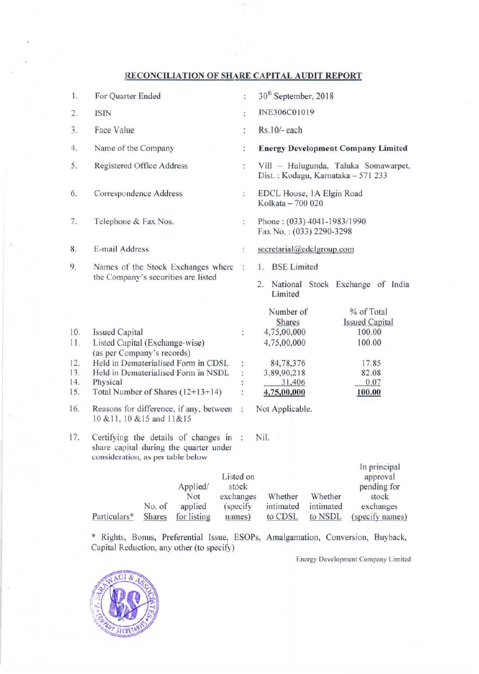## RECONCILIATION OF SHARE CAPITAL AUDIT REPORT

| 1.         | For Quarter Ended                                                                                                             | $\ddot{\cdot}$                           | 30 <sup>th</sup> September, 2018                                           |                                 |                                                                                  |  |
|------------|-------------------------------------------------------------------------------------------------------------------------------|------------------------------------------|----------------------------------------------------------------------------|---------------------------------|----------------------------------------------------------------------------------|--|
| 2.         | <b>ISIN</b>                                                                                                                   | $\ddot{\cdot}$                           | INE306C01019                                                               |                                 |                                                                                  |  |
| 3.         | Face Value                                                                                                                    | $\ddot{\cdot}$                           | Rs.10/- each                                                               |                                 |                                                                                  |  |
| 4.         | Name of the Company                                                                                                           | $\ddot{\cdot}$                           | <b>Energy Development Company Limited</b>                                  |                                 |                                                                                  |  |
| 5.         | Registered Office Address                                                                                                     | $\ddot{\cdot}$                           | Vill - Hulugunda, Taluka Somawarpet,<br>Dist.: Kodagu, Karnataka - 571 233 |                                 |                                                                                  |  |
| 6.         | Correspondence Address                                                                                                        | :                                        | EDCL House, 1A Elgin Road<br>Kolkata - 700 020                             |                                 |                                                                                  |  |
| 7.         | Telephone & Fax Nos.                                                                                                          | ÷                                        | Phone: (033) 4041-1983/1990<br>Fax No.: (033) 2290-3298                    |                                 |                                                                                  |  |
| 8.         | E-mail Address                                                                                                                | $\ddot{\cdot}$                           | secretarial@edclgroup.com                                                  |                                 |                                                                                  |  |
| 9.         | Names of the Stock Exchanges where<br>the Company's securities are listed                                                     | $\ddot{\phantom{a}}$                     | 1. BSE Limited<br>Limited                                                  |                                 | 2. National Stock Exchange of India                                              |  |
| 10.        | <b>Issued Capital</b>                                                                                                         |                                          | Number of<br>Shares<br>4,75,00,000                                         |                                 | % of Total<br><b>Issued Capital</b><br>100.00                                    |  |
| 11.        | Listed Capital (Exchange-wise)<br>(as per Company's records)                                                                  |                                          | 4,75,00,000                                                                |                                 | 100.00                                                                           |  |
| 12.        | Held in Dematerialised Form in CDSL                                                                                           |                                          | 84,78,376                                                                  |                                 | 17.85                                                                            |  |
| 13.<br>14. | Held in Dematerialised Form in NSDL<br>Physical                                                                               | ţ.                                       | 3,89,90,218<br>31,406                                                      |                                 | 82.08<br>0.07                                                                    |  |
| 15.        | Total Number of Shares (12+13+14)                                                                                             |                                          | 4,75,00,000                                                                |                                 | 100.00                                                                           |  |
| 16.        | Reasons for difference, if any, between<br>Not Applicable.<br>$\mathbb{R}$<br>10 & 11, 10 & 15 and 11 & 15                    |                                          |                                                                            |                                 |                                                                                  |  |
| 17.        | Certifying the details of changes in :<br>Nil.<br>share capital during the quarter under<br>consideration, as per table below |                                          |                                                                            |                                 |                                                                                  |  |
|            | Applied/<br>Not<br>exchanges<br>No. of<br>applied<br>Particulars*<br>for listing<br>Shares                                    | Listed on<br>stock<br>(specify<br>names) | Whether<br>intimated<br>to CDSL                                            | Whether<br>intimated<br>to NSDL | In principal<br>approval<br>pending for<br>stock<br>exchanges<br>(specify names) |  |

\* Rights, Bonus, Preferential lssue, ESOPs, Amalgamation, Conversion, Buyback, Capital Reduction, any other (to specify)

Energy Development Company Limited